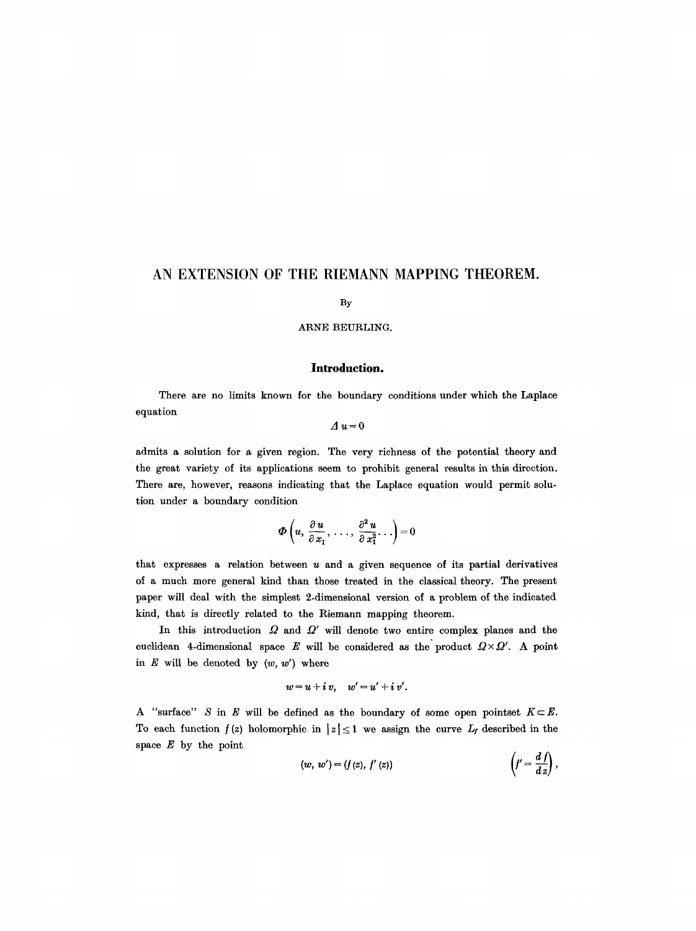# **AN EXTENSION OF THE RIEMANN MAPPING THEOREM.**

#### By

# ARNE BEURLING.

## **Introduction.**

There are no limits known for the boundary conditions under which the Laplace equation

# *Au=O*

admits a solution for a given region. The very richness of the potential theory and the great variety of its applications seem to prohibit general results in this direction. There are, however, reasons indicating that the Laplace equation would permit solution under a boundary condition

$$
\boldsymbol{\Phi}\left(u,\frac{\partial u}{\partial x_1},\ldots,\frac{\partial^2 u}{\partial x_1^2}\ldots\right)=0
$$

that expresses a relation between  $u$  and a given sequence of its partial derivatives of a much more general kind than those treated in the classical theory. The present paper will deal with the simplest 2-dimensional version of a problem of the indicated kind, that is directly related to the Riemann mapping theorem.

In this introduction  $\Omega$  and  $\Omega'$  will denote two entire complex planes and the euclidean 4-dimensional space E will be considered as the product  $\Omega \times \Omega'$ . A point in  $E$  will be denoted by  $(w, w')$  where

$$
w=u+i v, \quad w'=u'+i v'.
$$

A "surface" S in E will be defined as the boundary of some open pointset  $K \subset E$ . To each function  $f(z)$  holomorphic in  $|z| \leq 1$  we assign the curve  $L_f$  described in the space  $E$  by the point  $\lambda$  $\overline{d}$ 

$$
(w, w') = (f(z), f'(z)) \qquad \qquad \left(f' = \frac{d f}{dz}\right),
$$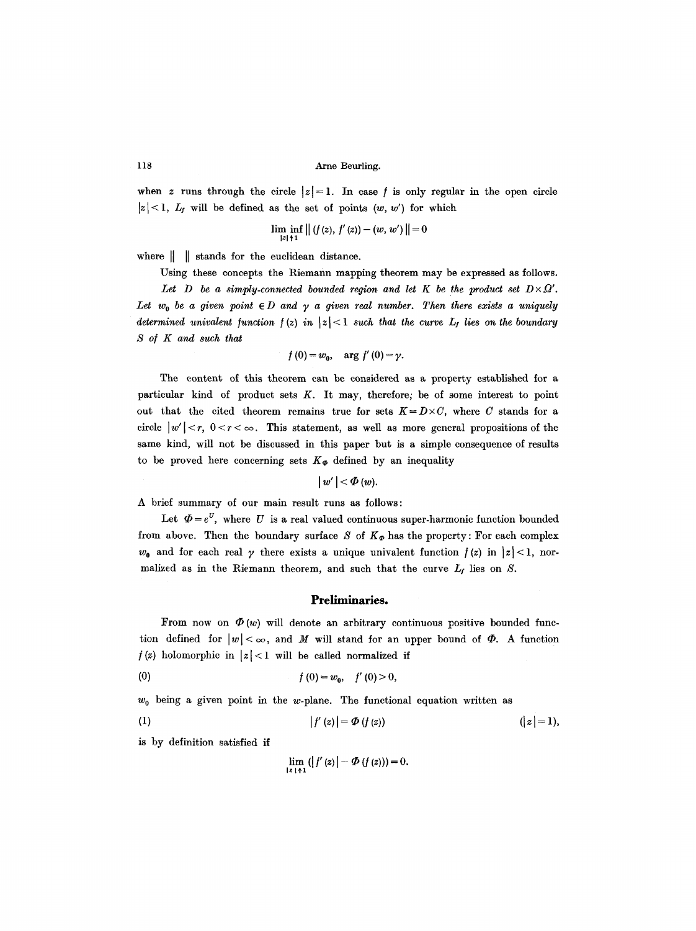118 Arne Beurling.

when z runs through the circle  $|z|=1$ . In case f is only regular in the open circle  $|z| < 1$ ,  $L_f$  will be defined as the set of points  $(w, w')$  for which

$$
\lim_{|z|\uparrow 1} \inf_{z} ||(f(z), f'(z)) - (w, w')|| = 0
$$

where  $\|\n\|$  stands for the euclidean distance.

Using these concepts the Riemann mapping theorem may be expressed as follows. Let  $D$  be a simply-connected bounded region and let  $K$  be the product set  $D \times Q'$ . Let  $w_0$  be a given point  $\in D$  and  $\gamma$  a given real number. Then there exists a uniquely *determined univalent function f (z) in*  $|z| < 1$  *such that the curve*  $L_f$  *lies on the boundary S of K and such that* 

$$
f(0) = w_0, \quad \arg f'(0) = \gamma.
$$

The content of this theorem can be considered as a property established for a particular kind of product sets  $K$ . It may, therefore; be of some interest to point out that the cited theorem remains true for sets  $K = D \times C$ , where C stands for a circle  $|w'| < r$ ,  $0 < r < \infty$ . This statement, as well as more general propositions of the same kind, will not be discussed in this paper but is a simple consequence of results to be proved here concerning sets  $K_{\varphi}$  defined by an inequality

$$
|w'|<\varPhi(w).
$$

A brief summary of our main result runs as follows:

Let  $\Phi = e^U$ , where U is a real valued continuous super-harmonic function bounded from above. Then the boundary surface S of  $K_{\Phi}$  has the property: For each complex  $w_0$  and for each real  $\gamma$  there exists a unique univalent function  $f(z)$  in  $|z| < 1$ , normalized as in the Riemann theorem, and such that the curve  $L_f$  lies on S.

## **Preliminaries.**

From now on  $\Phi(w)$  will denote an arbitrary continuous positive bounded function defined for  $|w| < \infty$ , and M will stand for an upper bound of  $\Phi$ . A function  $f(z)$  holomorphic in  $|z| < 1$  will be called normalized if

(0)  $f(0) = w_0, \quad f'(0) > 0,$ 

 $w_0$  being a given point in the w-plane. The functional equation written as

(1) 
$$
|f'(z)| = \Phi(f(z))
$$
  $(|z| = 1),$ 

is by definition satisfied if

$$
\lim_{|z|+1} (|f'(z)| - \Phi(f(z))) = 0.
$$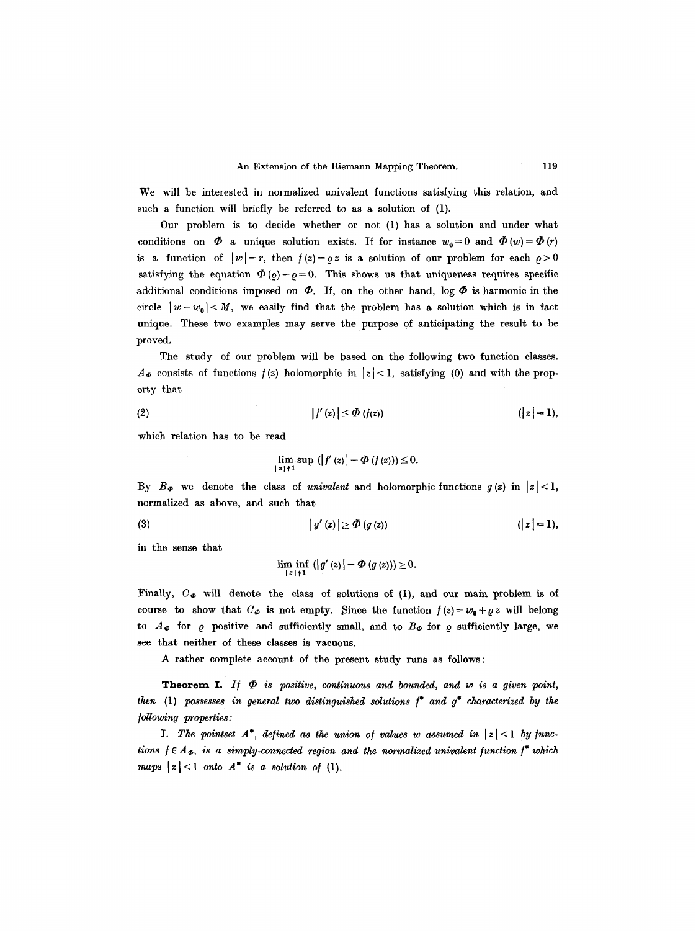We will be interested in normalized univalent functions satisfying this relation, and such a function will briefly be referred to as a solution of (1).

Our problem is to decide whether or not (1) has a solution and under what conditions on  $\Phi$  a unique solution exists. If for instance  $w_0 = 0$  and  $\Phi(w) = \Phi(r)$ is a function of  $|w|=r$ , then  $f(z)=\varrho z$  is a solution of our problem for each  $\varrho > 0$ satisfying the equation  $\Phi(\rho) - p = 0$ . This shows us that uniqueness requires specific additional conditions imposed on  $\Phi$ . If, on the other hand, log  $\Phi$  is harmonic in the circle  $|w - w_0| < M$ , we easily find that the problem has a solution which is in fact unique. These two examples may serve the purpose of anticipating the result to be proved.

The study of our problem will be based on the following two function classes.  $A_{\Phi}$  consists of functions  $f(z)$  holomorphic in  $|z|< 1$ , satisfying (0) and with the property that

$$
|f'(z)| \leq \Phi(f(z)) \qquad (|z|=1),
$$

which relation has to be read

$$
\lim_{|z|\uparrow 1} \sup_{z\uparrow 1} (|f'(z)| - \Phi(f(z)) \leq 0.
$$

By  $B_{\varPhi}$  we denote the class of *univalent* and holomorphic functions  $g(z)$  in  $|z| < 1$ , normalized as above, and such that

$$
(3) \qquad |g'(z)| \geq \Phi(g(z)) \qquad (|z| = 1),
$$

in the sense that

$$
\liminf_{|z|\uparrow 1} (|g'(z)| - \Phi(g(z))) \geq 0.
$$

Finally,  $C_{\Phi}$  will denote the class of solutions of (1), and our main problem is of course to show that  $C_{\phi}$  is not empty. Since the function  $f(z)=w_0+e z$  will belong to  $A_{\Phi}$  for  $\rho$  positive and sufficiently small, and to  $B_{\Phi}$  for  $\rho$  sufficiently large, we see that neither of these classes is vacuous.

A rather complete account of the present study runs as follows:

**Theorem I.** If  $\Phi$  is positive, continuous and bounded, and w is a given point, *then* (1) *possesses in general two distinguished solutions /\* and g\* characterized by the /oUowing properties:* 

*I. The pointset*  $A^*$ , defined as the union of values w assumed in  $|z| < 1$  by func*tions*  $f \in A_{\Phi}$ *, is a simply-connected region and the normalized univalent function*  $f^*$  which *maps*  $|z| < 1$  *onto*  $A^*$  *is a solution of (1).*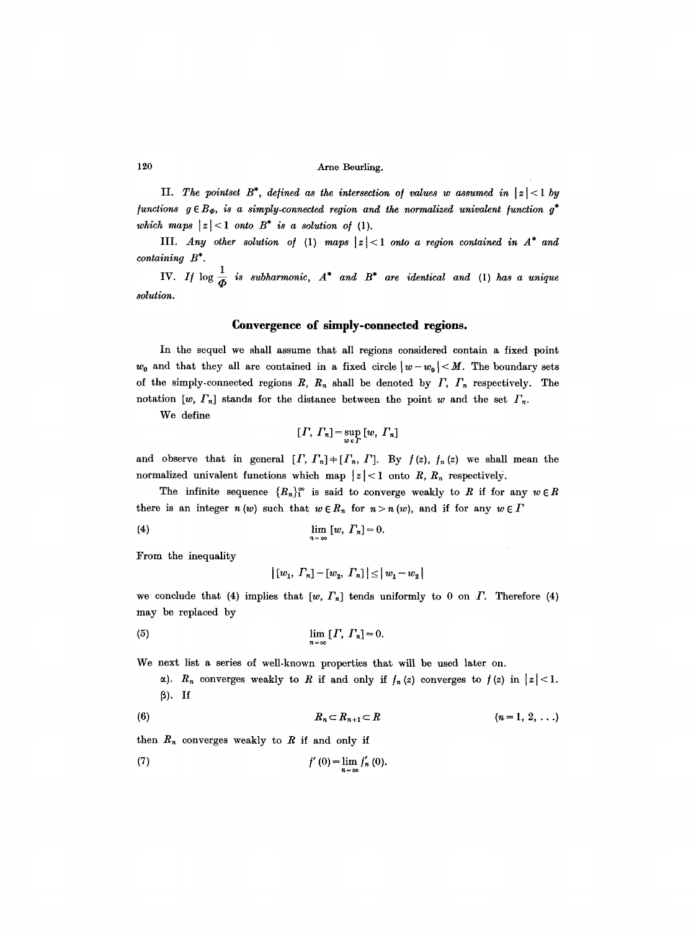## 120 Arno Beurling.

II. The pointset  $B^*$ , defined as the intersection of values w assumed in  $|z| < 1$  by *functions*  $g \in B_{\Phi}$ , is a simply-connected region and the normalized univalent function  $g^*$ *which maps*  $|z| < 1$  *onto*  $B^*$  *is a solution of (1).* 

III. *Any other solution of* (1) maps  $|z| < 1$  onto a region contained in  $A^*$  and *containing B\*.* 

**1V.** If  $\log \frac{1}{\Phi}$  is subharmonic,  $A^*$  and  $B^*$  are identical and (1) has a unique *solution.* 

## **Convergence of simply-connected regions.**

In the sequel we shall assume that all regions considered contain a fixed point  $w_0$  and that they all are contained in a fixed circle  $|w-w_0| < M$ . The boundary sets of the simply-connected regions  $R$ ,  $R_n$  shall be denoted by  $\Gamma$ ,  $\Gamma_n$  respectively. The notation  $[w, \Gamma_n]$  stands for the distance between the point w and the set  $\Gamma_n$ .

We define

$$
[T, T_n] = \sup_{w \in \Gamma} [w, T_n]
$$

and observe that in general  $[I, \Gamma_n] + [T_n, T]$ . By  $f(z)$ ,  $f_n(z)$  we shall mean the normalized univalent functions which map  $|z| < 1$  onto R,  $R_n$  respectively.

The infinite sequence  ${R_n}_1^{\infty}$  is said to converge weakly to R if for any  $w \in R$ there is an integer  $n(w)$  such that  $w \in R_n$  for  $n > n(w)$ , and if for any  $w \in \Gamma$ 

$$
\lim_{n \to \infty} [w, \Gamma_n] = 0.
$$

From the inequality

$$
|\left[w_1, T_n\right] - \left[w_2, T_n\right]| \leq |w_1 - w_2|
$$

 $\bar{z}$ 

we conclude that (4) implies that  $[w, \Gamma_n]$  tends uniformly to 0 on  $\Gamma$ . Therefore (4) may be replaced by

$$
\lim_{n\to\infty} [T, T_n]=0.
$$

We next list a series of well-known properties that will be used later on.

a).  $R_n$  converges weakly to R if and only if  $f_n(z)$  converges to  $f(z)$  in  $|z| < 1$ .  $\beta$ ). If

$$
(6) \hspace{3.1em} R_n \subset R_{n+1} \subset R \hspace{3.2em} (n=1,\,2,\,\ldots)
$$

then  $R_n$  converges weakly to R if and only if

(7) 
$$
f'(0) = \lim_{n \to \infty} f'_n(0).
$$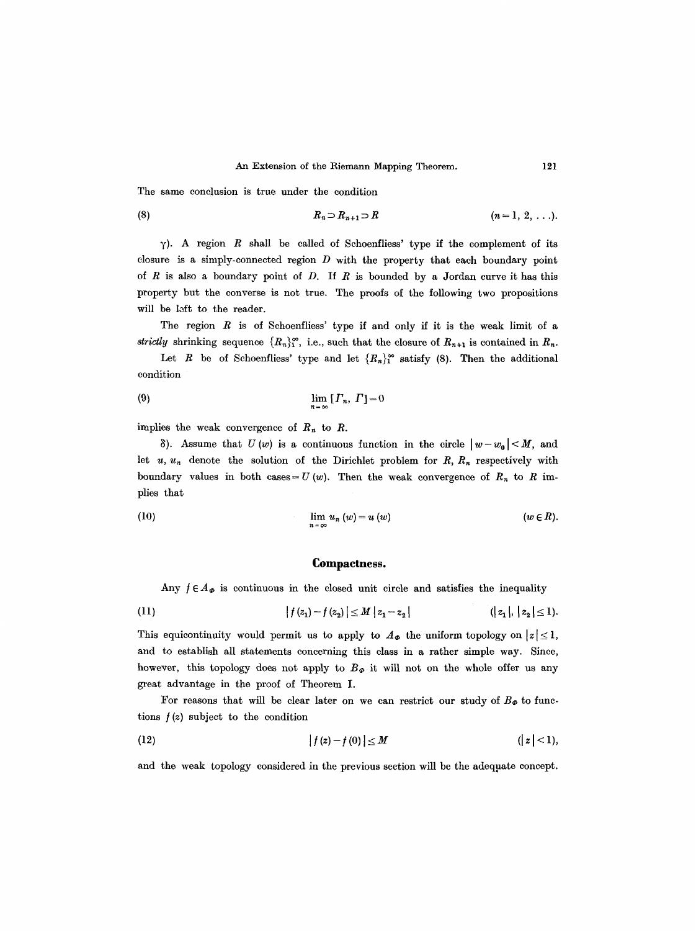The same conclusion is true under the condition

(8) 
$$
R_n \supset R_{n+1} \supset R
$$
  $(n=1, 2, ...).$ 

 $\gamma$ ). A region R shall be called of Schoenfliess' type if the complement of its closure is a simply-connected region  $D$  with the property that each boundary point of  $R$  is also a boundary point of  $D$ . If  $R$  is bounded by a Jordan curve it has this property but the converse is not true. The proofs of the following two propositions will be left to the reader.

The region  $R$  is of Schoenfliess' type if and only if it is the weak limit of a strictly shrinking sequence  $\{R_n\}_1^{\infty}$ , i.e., such that the closure of  $R_{n+1}$  is contained in  $R_n$ .

Let R be of Schoenfliess' type and let  ${R_n}_1^{\infty}$  satisfy (8). Then the additional condition

$$
\lim_{n = \infty} [I_n, \Gamma] = 0
$$

implies the weak convergence of  $R_n$  to  $R$ .

8). Assume that  $U(w)$  is a continuous function in the circle  $|w-w_0| < M$ , and let  $u, u_n$  denote the solution of the Dirichlet problem for  $R, R_n$  respectively with boundary values in both cases = U (w). Then the weak convergence of  $R_n$  to R implies that

(10) 
$$
\lim_{n \to \infty} u_n(w) = u(w) \qquad (w \in R).
$$

#### **Compactness.**

Any  $f \in A_{\phi}$  is continuous in the closed unit circle and satisfies the inequality

(11) 
$$
|f(z_1)-f(z_2)| \leq M |z_1-z_2| \qquad (|z_1|, |z_2| \leq 1).
$$

This equicontinuity would permit us to apply to  $A_{\Phi}$  the uniform topology on  $|z| \leq 1$ , and to establish all statements concerning this class in a rather simple way. Since, however, this topology does not apply to  $B_{\varPhi}$  it will not on the whole offer us any great advantage in the proof of Theorem I.

For reasons that will be clear later on we can restrict our study of  $B_{\Phi}$  to functions  $f(z)$  subject to the condition

(12) 
$$
|f(z)-f(0)| \leq M
$$
  $(|z|<1),$ 

and the weak topology considered in the previous section will be the adequate concept.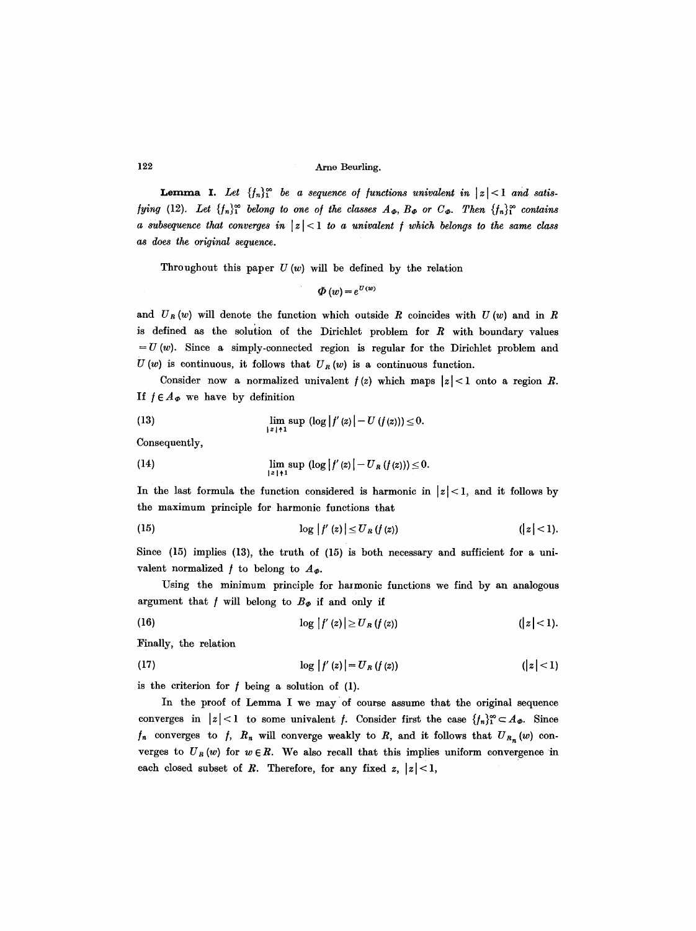122 Arno Beurling.

**Lemma I.** Let  $\{f_n\}_1^{\infty}$  be a sequence of functions univalent in  $|z| < 1$  and satis*fying* (12). Let  $\{f_n\}^{\infty}$  *belong to one of the classes*  $A_{\Phi}$ ,  $B_{\Phi}$  or  $C_{\Phi}$ . Then  $\{f_n\}^{\infty}$  contains *a subsequence that converges in*  $|z| < 1$  *to a univalent f which belongs to the same class as does the. original sequence.* 

Throughout this paper  $U(w)$  will be defined by the relation

 $\Phi(w) = e^{U(w)}$ 

and  $U_R(w)$  will denote the function which outside R coincides with  $U(w)$  and in R is defined as the solution of the Dirichlet problem for  $R$  with boundary values  $= U (w)$ . Since a simply-connected region is regular for the Dirichlet problem and  $U(w)$  is continuous, it follows that  $U_R(w)$  is a continuous function.

Consider now a normalized univalent  $f(z)$  which maps  $|z| < 1$  onto a region R. If  $f \in A_{\Phi}$  we have by definition

(13) 
$$
\lim_{\|z\|+1} \sup ( \log |f'(z)| - U(f(z))) \leq 0.
$$

Consequently,

(14) 
$$
\lim_{|z|+1} \sup (\log |f'(z)| - U_R(f(z))) \leq 0.
$$

In the last formula the function considered is harmonic in  $|z| < 1$ , and it follows by the maximum principle for harmonic functions that

$$
\log |f'(z)| \le U_R(f(z)) \qquad (|z| < 1).
$$

Since (15) implies (13), the truth of (15) is both necessary and sufficient for a univalent normalized  $f$  to belong to  $A_{\varPhi}$ .

Using the minimum principle for harmonic functions we find by an analogous argument that f will belong to  $B_{\phi}$  if and only if

(16) 
$$
\log |f'(z)| \ge U_R(f(z)) \qquad (|z| < 1).
$$

Finally, the relation

(17) 
$$
\log |f'(z)| = U_R(f(z)) \qquad (|z| < 1)
$$

is the criterion for  $f$  being a solution of (1).

In the proof of Lemma I we may of course assume that the original sequence converges in  $|z| < 1$  to some univalent f. Consider first the case  $\{f_n\}^{\infty} \subset A_{\Phi}$ . Since  $f_n$  converges to  $f$ ,  $R_n$  will converge weakly to  $R$ , and it follows that  $U_{R_n}(w)$  converges to  $U_R(w)$  for  $w \in R$ . We also recall that this implies uniform convergence in each closed subset of R. Therefore, for any fixed  $z, |z| < 1$ ,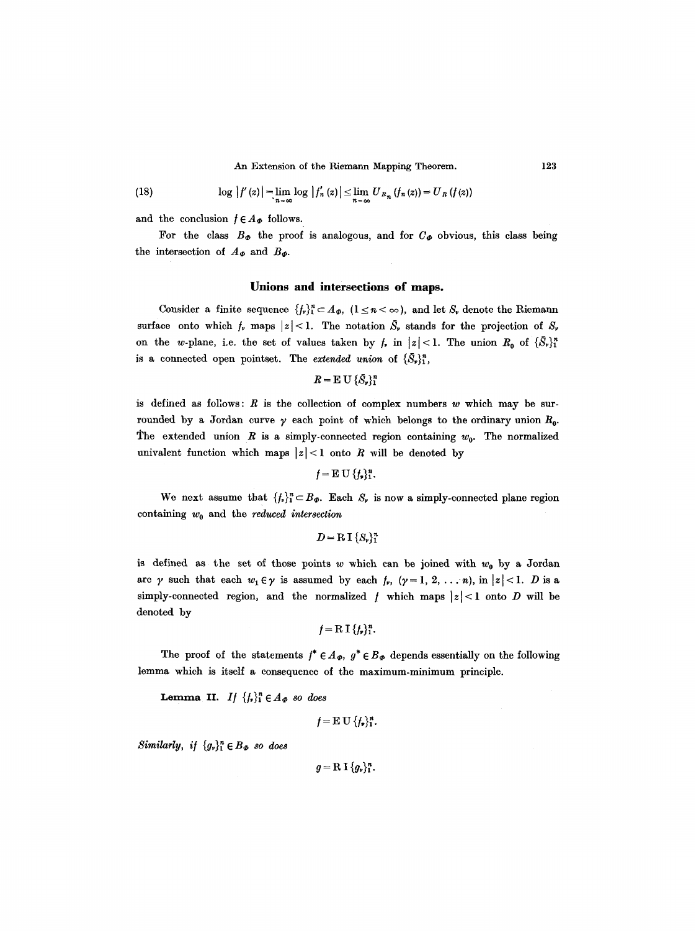An Extension of the Riemann Mapping Theorem. 123

(18) 
$$
\log |f'(z)| = \lim_{n \to \infty} \log |f'_n(z)| \leq \lim_{n \to \infty} U_{R_n} (f_n(z)) = U_R (f(z))
$$

and the conclusion  $f \in A_{\phi}$  follows.

For the class  $B_{\phi}$  the proof is analogous, and for  $C_{\phi}$  obvious, this class being the intersection of  $A_{\Phi}$  and  $B_{\Phi}$ .

# **Unions and intersections of maps.**

Consider a finite sequence  $\{f_p\}_{1}^{n} \subset A_{\Phi}$ ,  $(1 \leq n \leq \infty)$ , and let  $S_{\phi}$  denote the Riemann surface onto which  $f_r$  maps  $|z| < 1$ . The notation  $\tilde{S}_r$  stands for the projection of  $S_r$ on the w-plane, i.e. the set of values taken by  $f_r$  in  $|z| < 1$ . The union  $R_0$  of  $\{\bar{S}_r\}_1^n$ is a connected open pointset. The *extended union* of  $\{\bar{S}_r\}_1^n$ ,

 $R = E U {\delta_v}_1^n$ 

is defined as follows:  $R$  is the collection of complex numbers  $w$  which may be surrounded by a Jordan curve  $\gamma$  each point of which belongs to the ordinary union  $R_0$ . The extended union R is a simply-connected region containing  $w_0$ . The normalized univalent function which maps  $|z| < 1$  onto R will be denoted by

 $f = E U \{f_n\}_{1}^{n}.$ 

We next assume that  $\{f_p\}_{1}^{n} \subset B_{\Phi}$ . Each  $S_p$  is now a simply-connected plane region containing  $w_0$  and the *reduced intersection* 

```
D = R I {S_{\nu}}^n_1
```
is defined as the set of those points w which can be joined with  $w_0$  by a Jordan are  $\gamma$  such that each  $w_1 \in \gamma$  is assumed by each  $f_r$ ,  $(\gamma = 1, 2, \ldots n)$ , in  $|z| < 1$ . *D* is a simply-connected region, and the normalized  $f$  which maps  $|z|$ <1 onto D will be denoted by

$$
f=\mathrm{R\,I}\,\{f_{\nu}\}_{1}^{n}.
$$

The proof of the statements  $f^* \in A_{\phi}$ ,  $g^* \in B_{\phi}$  depends essentially on the following lemma which is itself a consequence of the maximum-minimum principle.

**Lemma II.** *If*  $\{f_v\}_1^n \in A_{\Phi}$  so does

$$
f = \mathbf{E} \mathbf{U} \{f_{\mathbf{y}}\}_{1}^{n}.
$$

*Similarly, if*  ${g_{\nu}}^n_1 \in B_{\Phi}$  so does

 $g = R I \{g_r\}_1^n$ .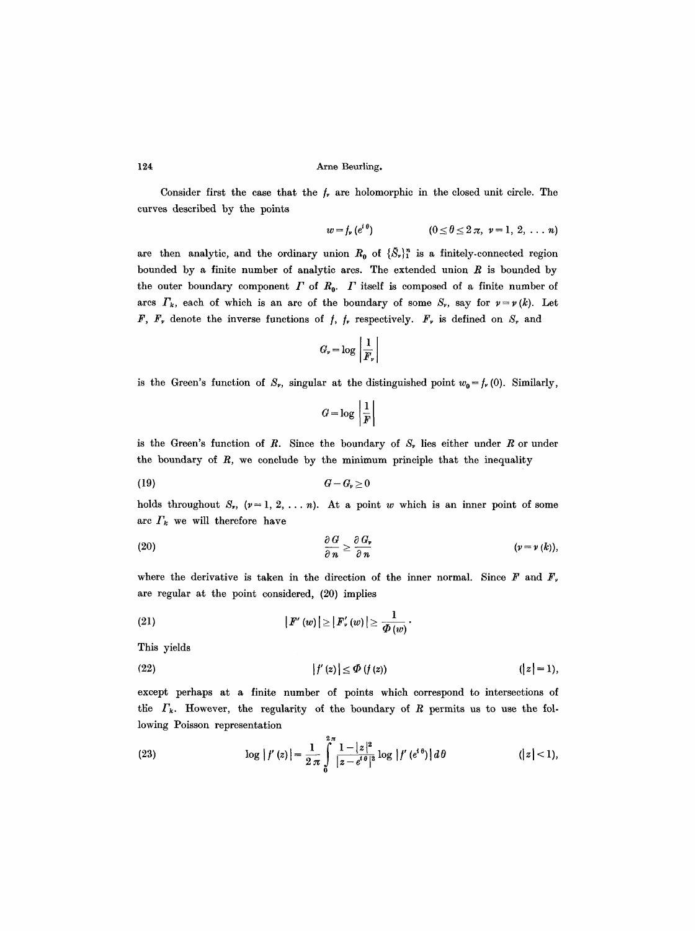Consider first the case that the  $f_r$  are holomorphic in the closed unit circle. The curves described by the points

$$
w = f_{\nu} (e^{i\theta})
$$
  $(0 \le \theta \le 2 \pi, \nu = 1, 2, \ldots n)$ 

are then analytic, and the ordinary union  $R_0$  of  $\{\tilde{S}_r\}^n_1$  is a finitely-connected region bounded by a finite number of analytic arcs. The extended union  $R$  is bounded by the outer boundary component  $\Gamma$  of  $R_0$ .  $\Gamma$  itself is composed of a finite number of ares  $\Gamma_k$ , each of which is an arc of the boundary of some  $S_{\nu}$ , say for  $\nu = \nu (k)$ . Let F,  $F_r$ , denote the inverse functions of  $f$ ,  $f_r$ , respectively.  $F_r$  is defined on  $S_r$ , and

$$
G_{\nu} = \log \left| \frac{1}{F_{\nu}} \right|
$$

is the Green's function of  $S_r$ , singular at the distinguished point  $w_0 = f_r(0)$ . Similarly,

$$
G = \log \left| \frac{1}{F} \right|
$$

is the Green's function of  $R$ . Since the boundary of  $S<sub>r</sub>$  lies either under  $R$  or under the boundary of  $R$ , we conclude by the minimum principle that the inequality

$$
(19) \tG - G_{\nu} \ge 0
$$

holds throughout  $S_r$ ,  $(\nu = 1, 2, \ldots n)$ . At a point w which is an inner point of some arc  $\Gamma_k$  we will therefore have

(20) 
$$
\frac{\partial G}{\partial n} \geq \frac{\partial G_r}{\partial n} \qquad (v = v(k)),
$$

where the derivative is taken in the direction of the inner normal. Since F and  $F_{\nu}$ are regular at the point considered, (20) implies

(21) 
$$
|F'(w)| \geq |F'_v(w)| \geq \frac{1}{\Phi(w)}.
$$

This yields

(22) 
$$
|f'(z)| \le \Phi(f(z))
$$
  $(|z|=1),$ 

except perhaps at a finite number of points which correspond to intersections of the  $\Gamma_k$ . However, the regularity of the boundary of R permits us to use the following Poisson representation

(23) 
$$
\log |f'(z)| = \frac{1}{2\pi} \int_{0}^{2\pi} \frac{1-|z|^2}{|z-e^{i\theta}|^2} \log |f'(e^{i\theta})| d\theta \qquad (|z|<1),
$$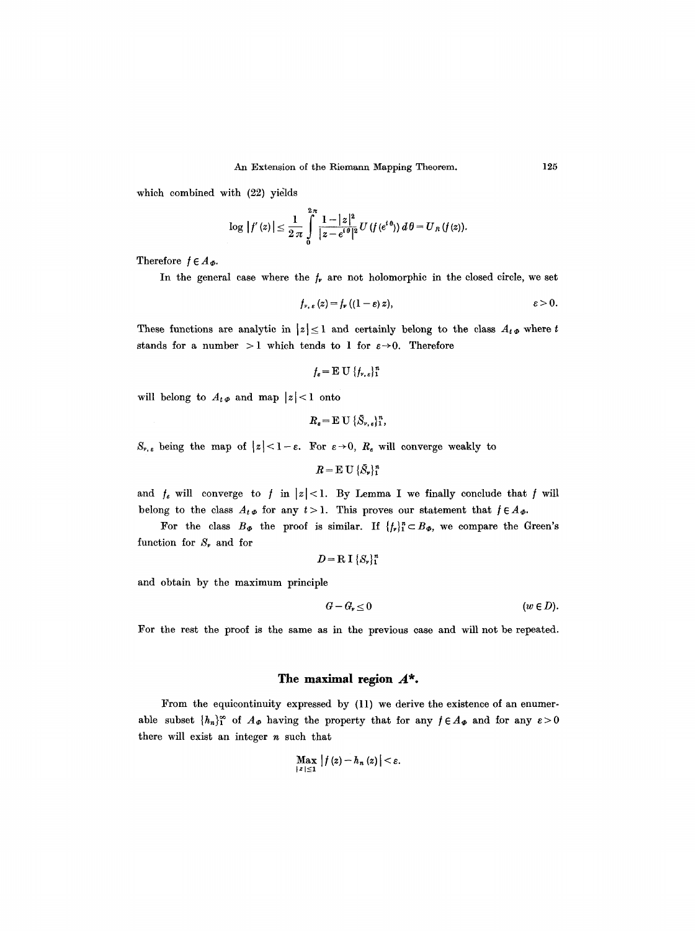which combined with (22) yields

$$
\log |f'(z)| \leq \frac{1}{2 \pi} \int_{0}^{2\pi} \frac{1-|z|^2}{|z-e^{i\theta}|^2} U(f(e^{i\theta})) d\theta = U_R(f(z)).
$$

Therefore  $f \in A_{\Phi}$ .

In the general case where the  $f_{\nu}$  are not holomorphic in the closed circle, we set

$$
f_{\nu,\,\varepsilon}(z)=f_{\nu}\left((1-\varepsilon)\,z\right),\qquad \varepsilon>0.
$$

These functions are analytic in  $|z| \leq 1$  and certainly belong to the class  $A_t \phi$  where t stands for a number > 1 which tends to 1 for  $\varepsilon \rightarrow 0$ . Therefore

 $f_e = E U \{f_{\nu, e}\}_1^n$ 

will belong to  $A_t \phi$  and map  $|z| < 1$  onto

$$
R_{\varepsilon} = \mathbb{E} \, \mathbf{U} \, \{ \bar{S}_{r,\varepsilon} \}_{1}^{n},
$$

 $S_{\nu,\varepsilon}$  being the map of  $|z| < 1-\varepsilon$ . For  $\varepsilon \to 0$ ,  $R_{\varepsilon}$  will converge weakly to

$$
R = \mathbf{E} \mathbf{U} \{\bar{S}_r\}_1^n
$$

and  $f_{\varepsilon}$  will converge to  $f$  in  $|z|<1$ . By Lemma I we finally conclude that  $f$  will belong to the class  $A_t \phi$  for any  $t > 1$ . This proves our statement that  $f \in A_\phi$ .

For the class  $B_{\phi}$  the proof is similar. If  $\{f_{\nu}\}_{1}^{n} \subset B_{\phi}$ , we compare the Green's function for  $S_r$  and for

$$
D = \mathbb{R} \mathbb{I} \left\{ S_{\nu} \right\}_{1}^{n}
$$

and obtain by the maximum principle

$$
G - G_{\nu} \leq 0 \qquad \qquad (w \in D).
$$

For the rest the proof is the same as in the previous case and will not be repeated.

# **The maximal region A\*.**

From the equicontinuity expressed by (11) we derive the existence of an enumerable subset  $\{h_n\}_1^{\infty}$  of  $A_{\phi}$  having the property that for any  $f \in A_{\phi}$  and for any  $\varepsilon > 0$ there will exist an integer  $n$  such that

$$
\max_{|z|\leq 1}|f(z)-h_n(z)|<\varepsilon.
$$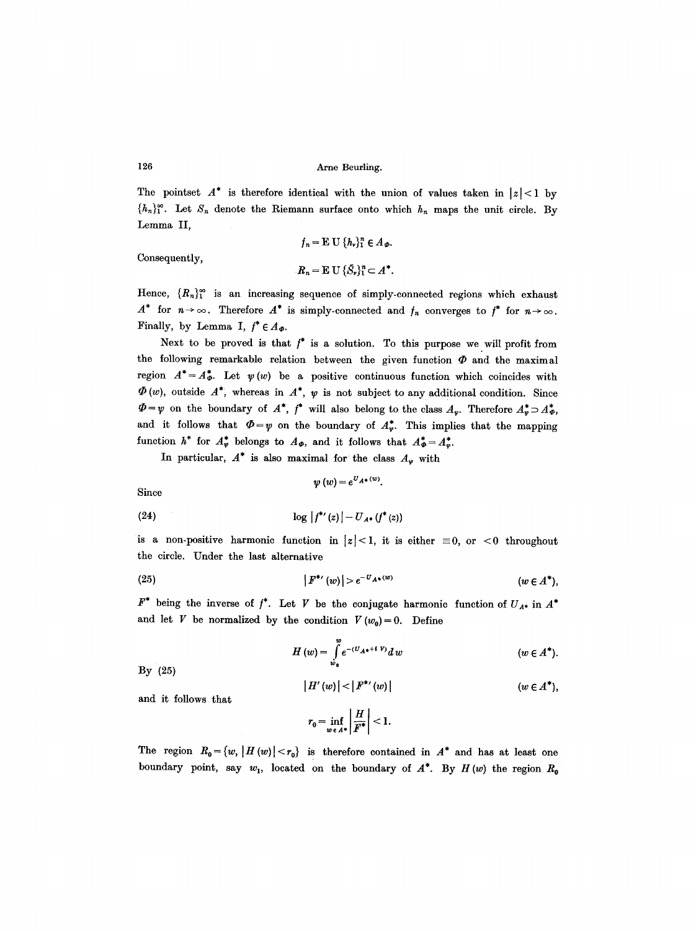126 Arne Beurling.

The pointset  $A^*$  is therefore identical with the union of values taken in  $|z| < 1$  by  ${h_n}_1^{\infty}$ . Let  $S_n$  denote the Riemann surface onto which  $h_n$  maps the unit circle. By Lemma II,

Consequently,

 $f_n = \mathbb{E} \mathbb{U} \{ h_v \}_{v=1}^n \in A_{\varPhi}$ .  $R_n = \mathbb{E} U \{\bar{S}_r\}_1^n \subset A^*.$ 

Hence,  $\{R_n\}_{1}^{\infty}$  is an increasing sequence of simply-connected regions which exhaust  $A^*$  for  $n\to\infty$ . Therefore  $A^*$  is simply-connected and  $f_n$  converges to  $f^*$  for  $n\to\infty$ . Finally, by Lemma I,  $f^* \in A_{\varPhi}$ .

Next to be proved is that  $f^*$  is a solution. To this purpose we will profit from the following remarkable relation between the given function  $\Phi$  and the maximal region  $A^* = A^*_{\varphi}$ . Let  $\psi(w)$  be a positive continuous function which coincides with  $\Phi(w)$ , outside  $A^*$ , whereas in  $A^*$ ,  $\psi$  is not subject to any additional condition. Since  $\Phi=\psi$  on the boundary of  $A^*$ ,  $\psi$ <sup>\*</sup> will also belong to the class  $A_{\psi}$ . Therefore  $A_{\psi}^* \supset A_{\varphi}^*$ , and it follows that  $\Phi=v$  on the boundary of  $A_v^*$ . This implies that the mapping function  $h^*$  for  $A^*_{\varphi}$  belongs to  $A_{\varphi}$ , and it follows that  $A^*_{\varphi} = A^*_{\varphi}$ .

In particular,  $A^*$  is also maximal for the class  $A_{\varphi}$  with

$$
\psi\left(w\right)\!=\!e^{U_{A^*}\left(w\right)}
$$

Since

(24) 
$$
\log |f^{\ast}(z)| - U_{A^{\ast}}(f^{\ast}(z))
$$

is a non-positive harmonic function in  $|z|<1$ , it is either  $\equiv 0$ , or  $\leq 0$  throughout the circle. Under the last alternative

(25) 
$$
|F^{\ast}(w)| > e^{-U_{A^{\ast}}(w)} \qquad (w \in A^{\ast}),
$$

 $F^*$  being the inverse of  $f^*$ . Let V be the conjugate harmonic function of  $U_{A^*}$  in  $A^*$ and let V be normalized by the condition  $V(w_0)=0$ . Define

$$
H(w) = \int_{w_0}^{w} e^{-(U_A * + i V)} dw \qquad (w \in A^*).
$$

By (25)

$$
|H'(w)| < |F^{**}(w)| \qquad (w \in A^*),
$$

and it follows that

$$
r_0 = \inf_{w \in A^*} \left| \frac{H}{F^*} \right| < 1.
$$

The region  $R_0 = \{w, |H(w)| < r_0\}$  is therefore contained in  $A^*$  and has at least one boundary point, say  $w_1$ , located on the boundary of  $A^*$ . By  $H(w)$  the region  $R_0$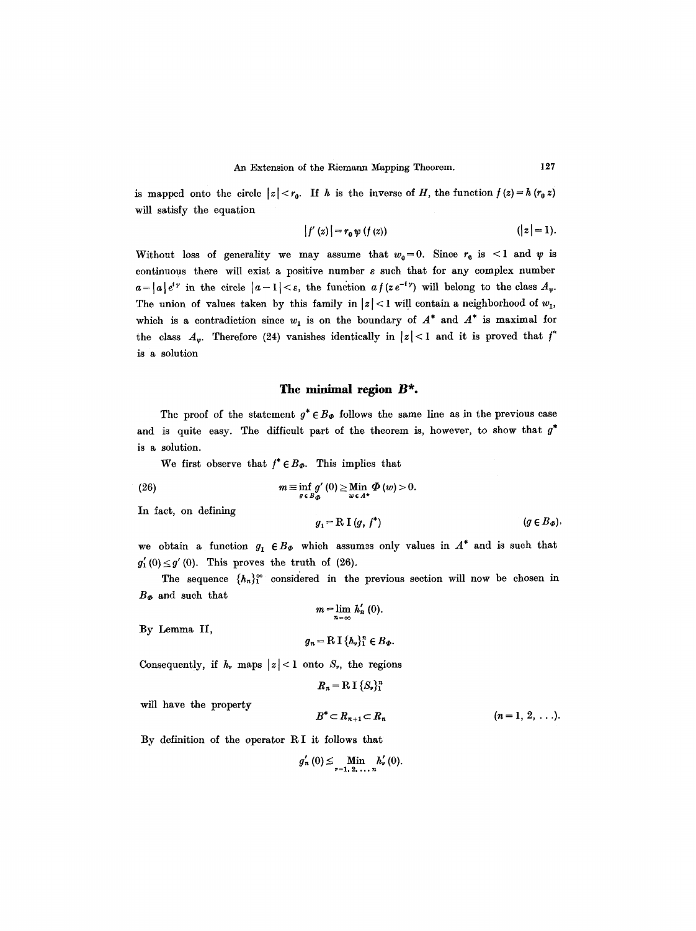is mapped onto the circle  $|z| < r_0$ . If h is the inverse of H, the function  $f(z) = h(r_0 z)$ will satisfy the equation

$$
|f'(z)| = r_0 \psi(f(z)) \qquad (|z| = 1).
$$

Without loss of generality we may assume that  $w_0=0$ . Since  $r_0$  is <1 and  $\psi$  is continuous there will exist a positive number  $\varepsilon$  such that for any complex number  $a=|a|e^{iy}$  in the circle  $|a-1|<\varepsilon$ , the function  $af(ze^{-iy})$  will belong to the class  $A_v$ . The union of values taken by this family in  $|z|$ <1 will contain a neighborhood of  $w_1$ , which is a contradiction since  $w_1$  is on the boundary of  $A^*$  and  $A^*$  is maximal for the class  $A_{\nu}$ . Therefore (24) vanishes identically in  $|z|$  < 1 and it is proved that  $f^*$ is a solution

# **The minimal region B\*.**

The proof of the statement  $g^* \in B_{\Phi}$  follows the same line as in the previous case and is quite easy. The difficult part of the theorem is, however, to show that  $g^*$ is a solution.

We first observe that  $f^* \in B_{\phi}$ . This implies that

(26) 
$$
m \equiv \inf_{g \in B_{\Phi}} g'(0) \geq \lim_{w \in A^*} \Phi(w) > 0.
$$

In fact, on defining

$$
g_1 = R I (g, f^*) \qquad (g \in B_{\varPhi}).
$$

we obtain a function  $g_1 \in B_{\phi}$  which assumes only values in  $A^*$  and is such that  $g'_1(0) \leq g'(0)$ . This proves the truth of (26).

The sequence  $\{h_n\}_1^{\infty}$  considered in the previous section will now be chosen in  $B_{\varPhi}$  and such that

 $m = \lim_{n = \infty} h'_n (0).$ 

By Lemma II,

$$
g_n = \mathrm{R} \, \mathrm{I} \, \{h_n\}_1^n \in B_{\Phi}.
$$

Consequently, if  $h_r$ , maps  $|z| < 1$  onto  $S_r$ , the regions

$$
R_n = \mathrm{R} \, \mathrm{I} \, \{S_\nu\}_1^n
$$

will have the property

$$
B^* \subset R_{n+1} \subset R_n \qquad (n=1, 2, \ldots).
$$

By definition of the operator R I it follows that

$$
g'_{n}(0) \leq \lim_{\nu=1, 2, \ldots, n} h'_{\nu}(0).
$$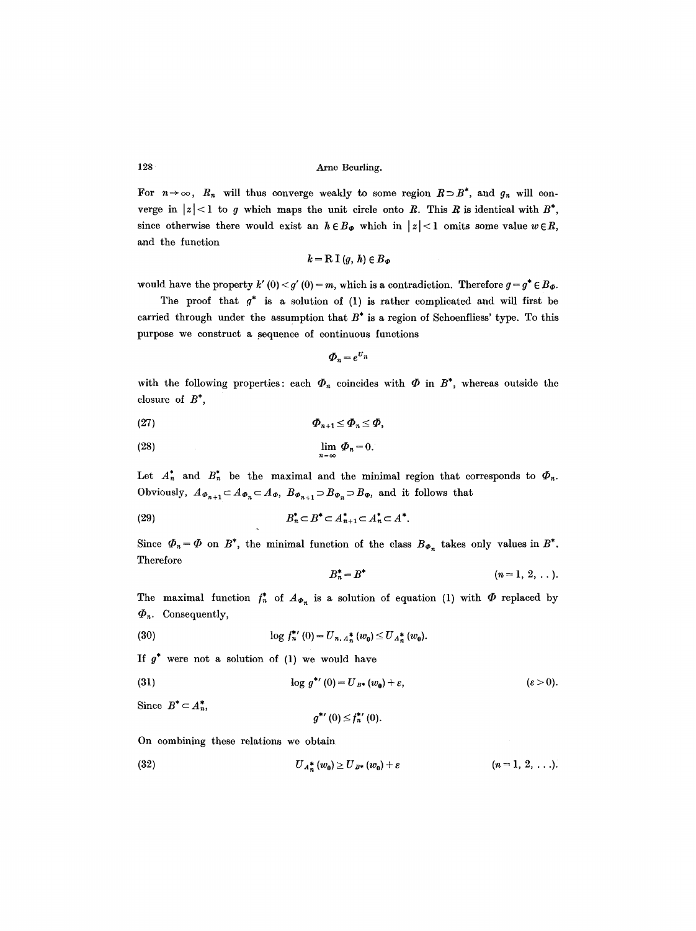For  $n \to \infty$ ,  $R_n$  will thus converge weakly to some region  $R \supset B^*$ , and  $g_n$  will converge in  $|z|$  < 1 to g which maps the unit circle onto R. This R is identical with  $B^*$ , since otherwise there would exist an  $h \in B_{\phi}$  which in  $|z| < 1$  omits some value  $w \in R$ , and the function

$$
k = \mathrm{R} \; \mathrm{I} \; (g, \; h) \in B_{\varPhi}
$$

would have the property k'  $(0) < g'$   $(0) = m$ , which is a contradiction. Therefore  $g = g^* \in B_{\Phi}$ .

The proof that  $g^*$  is a solution of (1) is rather complicated and will first be carried through under the assumption that  $B^*$  is a region of Schoenfliess' type. To this purpose we construct a sequence of continuous functions

$$
\boldsymbol{\varPhi}_n = e^{\boldsymbol{U}_n}
$$

with the following properties: each  $\Phi_n$  coincides with  $\Phi$  in  $B^*$ , whereas outside the closure of  $B^*$ ,

(27) ~n+l --< ~n ~< ~,

$$
\lim_{n = \infty} \Phi_n = 0.
$$

Let  $A_n^*$  and  $B_n^*$  be the maximal and the minimal region that corresponds to  $\Phi_n$ . Obviously,  $A_{\Phi_{n+1}} \subset A_{\Phi_n} \subset A_{\Phi}$ ,  $B_{\Phi_{n+1}} \supset B_{\Phi_n} \supset B_{\Phi}$ , and it follows that

$$
(29) \t\t\t B*n \subset B* \subset A*n+1 \subset A*n \subset A*.
$$

Since  $\Phi_n = \Phi$  on  $B^*$ , the minimal function of the class  $B_{\Phi_n}$  takes only values in  $B^*$ . Therefore

$$
B_n^* = B^* \qquad (n = 1, 2, ...).
$$

The maximal function  $f_n^*$  of  $A_{\varPhi_n}$  is a solution of equation (1) with  $\varPhi$  replaced by  $\Phi_n$ . Consequently,

(30) 
$$
\log f_n^{*'}(0) = U_{n, A_n^{*}}(w_0) \leq U_{A_n^{*}}(w_0).
$$

If  $g^*$  were not a solution of (1) we would have

(31) 
$$
\log g^{\ast\prime}(0) = U_{B\ast}(w_0) + \varepsilon, \qquad (\varepsilon > 0).
$$

Since  $B^* \subset A_n^*$ ,

$$
g^{\ast\prime}\left( 0\right) \leq f_{n}^{\ast\prime}\left( 0\right) .
$$

On combining these relations we obtain

(32) 
$$
U_{A_n^*}(w_0) \geq U_{B^*}(w_0) + \varepsilon \qquad (n = 1, 2, ...).
$$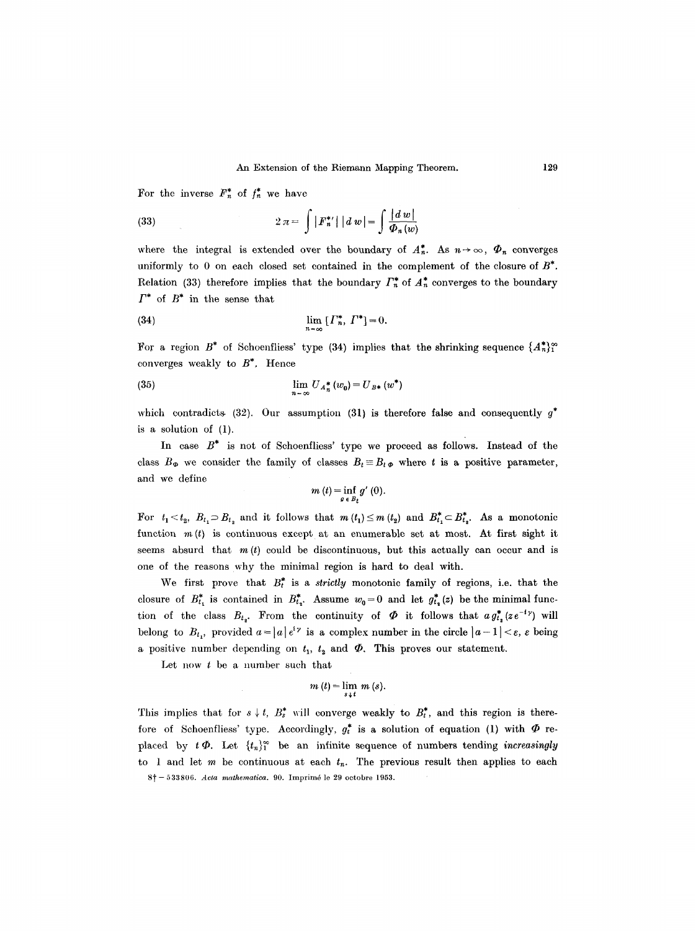For the inverse  $F_n^*$  of  $f_n^*$  we have

(33) 
$$
2 \pi = \int |F_n^{*'}| \, |d w| = \int \frac{|d w|}{\Phi_n(w)}
$$

where the integral is extended over the boundary of  $A_n^*$ . As  $n \to \infty$ ,  $\Phi_n$  converges uniformly to 0 on each closed set contained in the complement of the closure of  $B^*$ . Relation (33) therefore implies that the boundary  $\Gamma^*_n$  of  $A^*_n$  converges to the boundary  $\Gamma^*$  of  $B^*$  in the sense that

(34) 
$$
\lim_{n \to \infty} [I_n^*, I^*] = 0.
$$

For a region B<sup>\*</sup> of Schoenfliess' type (34) implies that the shrinking sequence  $\{A_n^*\}^{\infty}$ converges weakly to  $B^*$ . Hence

(35) 
$$
\lim_{n = \infty} U_{A_n^*}(w_0) = U_{B*}(w^*)
$$

which contradicts (32). Our assumption (31) is therefore false and consequently  $g^*$ is a solution of (1).

In case  $B^*$  is not of Schoenfliess' type we proceed as follows. Instead of the class  $B_{\Phi}$  we consider the family of classes  $B_t \equiv B_t \phi$  where t is a positive parameter, and we define

$$
m(t)=\inf_{g\in B_t}g'(0).
$$

For  $t_1 < t_2$ ,  $B_{t_1} \supseteq B_{t_2}$  and it follows that  $m(t_1) \leq m(t_2)$  and  $B_{t_1}^* \subset B_{t_2}^*$ . As a monotonic function  $m(t)$  is continuous except at an enumerable set at most. At first sight it seems absurd that  $m(t)$  could be discontinuous, but this actually can occur and is one of the reasons why the minimal region is hard to deal with.

We first prove that  $B_t^*$  is a *strictly* monotonic family of regions, i.e. that the closure of  $B_{t_1}^*$  is contained in  $B_{t_2}^*$ . Assume  $w_0=0$  and let  $g_{t_2}^*(z)$  be the minimal function of the class  $B_{t_2}$ . From the continuity of  $\Phi$  it follows that  $a g_{t_2}^*(z e^{-i\gamma})$  will belong to  $B_{t_1}$ , provided  $a = |a| e^{i\gamma}$  is a complex number in the circle  $|a - 1| < \varepsilon$ ,  $\varepsilon$  being a positive number depending on  $t_1$ ,  $t_2$  and  $\Phi$ . This proves our statement.

Let now  $t$  be a number such that

$$
m(t)=\lim_{s\downarrow t} m(s).
$$

This implies that for  $s \nmid t$ ,  $B_s^*$  will converge weakly to  $B_t^*$ , and this region is therefore of Schoenfliess' type. Accordingly,  $g_t^*$  is a solution of equation (1) with  $\Phi$  replaced by  $t\Phi$ . Let  $\{t_n\}_1^{\infty}$  be an infinite sequence of numbers tending *increasingly* to 1 and let m be continuous at each  $t_n$ . The previous result then applies to each 8~- 533806. *Acta mathematica.* 90. Imprim6 le 29 octobre 1953.